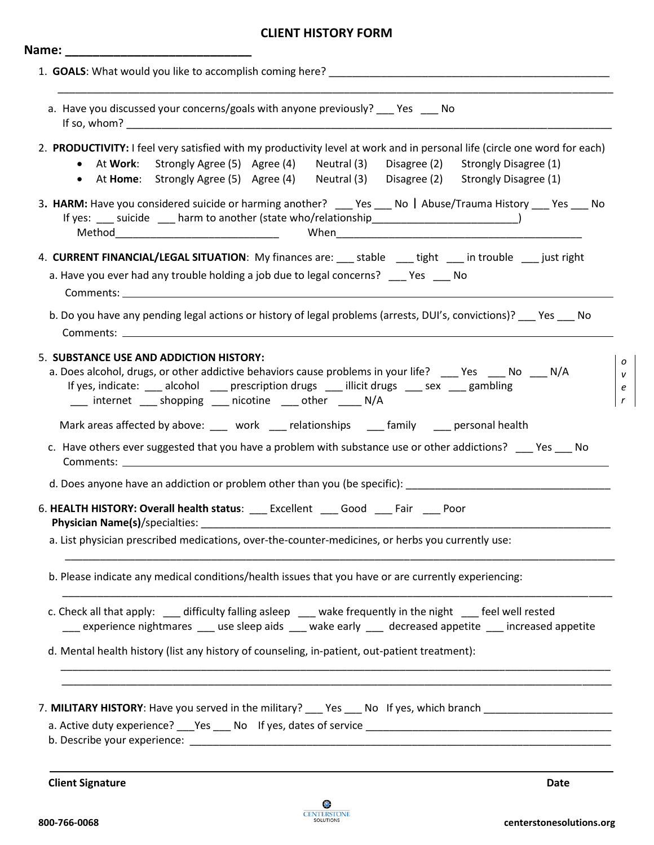# **CLIENT HISTORY FORM**

| a. Have you discussed your concerns/goals with anyone previously? ___ Yes ___ No<br>2. PRODUCTIVITY: I feel very satisfied with my productivity level at work and in personal life (circle one word for each)<br>• At Work: Strongly Agree (5) Agree (4) Neutral (3)<br>Disagree (2) Strongly Disagree (1)<br>• At Home: Strongly Agree (5) Agree (4) Neutral (3) Disagree (2) Strongly Disagree (1)<br>3. HARM: Have you considered suicide or harming another? ____ Yes ___ No   Abuse/Trauma History ___ Yes ___ No<br>If yes: ____ suicide ____ harm to another (state who/relationship___________________________________)<br>4. CURRENT FINANCIAL/LEGAL SITUATION: My finances are: ___ stable ___ tight ___ in trouble ___ just right<br>a. Have you ever had any trouble holding a job due to legal concerns? ____ Yes ____ No<br>b. Do you have any pending legal actions or history of legal problems (arrests, DUI's, convictions)? ___ Yes ___ No<br>5. SUBSTANCE USE AND ADDICTION HISTORY:<br>a. Does alcohol, drugs, or other addictive behaviors cause problems in your life? ____ Yes ____ No ___ N/A<br>If yes, indicate: ____ alcohol _____ prescription drugs ____ illicit drugs ____ sex ____ gambling<br>__ internet __ shopping __ nicotine __ other __ N/A<br>Mark areas affected by above: ____ work ____ relationships ____ family ____ personal health<br>c. Have others ever suggested that you have a problem with substance use or other addictions? __ Yes __ No<br><b>Comments:</b> the comments of the community of the community of the community of the community of the community of the community of the community of the community of the community of the community of the community of the com<br>6. HEALTH HISTORY: Overall health status: ___ Excellent ___ Good ___ Fair ___ Poor<br>a. List physician prescribed medications, over-the-counter-medicines, or herbs you currently use:<br>b. Please indicate any medical conditions/health issues that you have or are currently experiencing: |  |
|-------------------------------------------------------------------------------------------------------------------------------------------------------------------------------------------------------------------------------------------------------------------------------------------------------------------------------------------------------------------------------------------------------------------------------------------------------------------------------------------------------------------------------------------------------------------------------------------------------------------------------------------------------------------------------------------------------------------------------------------------------------------------------------------------------------------------------------------------------------------------------------------------------------------------------------------------------------------------------------------------------------------------------------------------------------------------------------------------------------------------------------------------------------------------------------------------------------------------------------------------------------------------------------------------------------------------------------------------------------------------------------------------------------------------------------------------------------------------------------------------------------------------------------------------------------------------------------------------------------------------------------------------------------------------------------------------------------------------------------------------------------------------------------------------------------------------------------------------------------------------------------------------------------------------------------------------------------------------------------------------------------------------------------------|--|
|                                                                                                                                                                                                                                                                                                                                                                                                                                                                                                                                                                                                                                                                                                                                                                                                                                                                                                                                                                                                                                                                                                                                                                                                                                                                                                                                                                                                                                                                                                                                                                                                                                                                                                                                                                                                                                                                                                                                                                                                                                           |  |
|                                                                                                                                                                                                                                                                                                                                                                                                                                                                                                                                                                                                                                                                                                                                                                                                                                                                                                                                                                                                                                                                                                                                                                                                                                                                                                                                                                                                                                                                                                                                                                                                                                                                                                                                                                                                                                                                                                                                                                                                                                           |  |
|                                                                                                                                                                                                                                                                                                                                                                                                                                                                                                                                                                                                                                                                                                                                                                                                                                                                                                                                                                                                                                                                                                                                                                                                                                                                                                                                                                                                                                                                                                                                                                                                                                                                                                                                                                                                                                                                                                                                                                                                                                           |  |
|                                                                                                                                                                                                                                                                                                                                                                                                                                                                                                                                                                                                                                                                                                                                                                                                                                                                                                                                                                                                                                                                                                                                                                                                                                                                                                                                                                                                                                                                                                                                                                                                                                                                                                                                                                                                                                                                                                                                                                                                                                           |  |
|                                                                                                                                                                                                                                                                                                                                                                                                                                                                                                                                                                                                                                                                                                                                                                                                                                                                                                                                                                                                                                                                                                                                                                                                                                                                                                                                                                                                                                                                                                                                                                                                                                                                                                                                                                                                                                                                                                                                                                                                                                           |  |
|                                                                                                                                                                                                                                                                                                                                                                                                                                                                                                                                                                                                                                                                                                                                                                                                                                                                                                                                                                                                                                                                                                                                                                                                                                                                                                                                                                                                                                                                                                                                                                                                                                                                                                                                                                                                                                                                                                                                                                                                                                           |  |
|                                                                                                                                                                                                                                                                                                                                                                                                                                                                                                                                                                                                                                                                                                                                                                                                                                                                                                                                                                                                                                                                                                                                                                                                                                                                                                                                                                                                                                                                                                                                                                                                                                                                                                                                                                                                                                                                                                                                                                                                                                           |  |
|                                                                                                                                                                                                                                                                                                                                                                                                                                                                                                                                                                                                                                                                                                                                                                                                                                                                                                                                                                                                                                                                                                                                                                                                                                                                                                                                                                                                                                                                                                                                                                                                                                                                                                                                                                                                                                                                                                                                                                                                                                           |  |
|                                                                                                                                                                                                                                                                                                                                                                                                                                                                                                                                                                                                                                                                                                                                                                                                                                                                                                                                                                                                                                                                                                                                                                                                                                                                                                                                                                                                                                                                                                                                                                                                                                                                                                                                                                                                                                                                                                                                                                                                                                           |  |
|                                                                                                                                                                                                                                                                                                                                                                                                                                                                                                                                                                                                                                                                                                                                                                                                                                                                                                                                                                                                                                                                                                                                                                                                                                                                                                                                                                                                                                                                                                                                                                                                                                                                                                                                                                                                                                                                                                                                                                                                                                           |  |
|                                                                                                                                                                                                                                                                                                                                                                                                                                                                                                                                                                                                                                                                                                                                                                                                                                                                                                                                                                                                                                                                                                                                                                                                                                                                                                                                                                                                                                                                                                                                                                                                                                                                                                                                                                                                                                                                                                                                                                                                                                           |  |
| c. Check all that apply: ___ difficulty falling asleep ___ wake frequently in the night ___ feel well rested<br>__ experience nightmares __ use sleep aids __ wake early __ decreased appetite __ increased appetite                                                                                                                                                                                                                                                                                                                                                                                                                                                                                                                                                                                                                                                                                                                                                                                                                                                                                                                                                                                                                                                                                                                                                                                                                                                                                                                                                                                                                                                                                                                                                                                                                                                                                                                                                                                                                      |  |
| d. Mental health history (list any history of counseling, in-patient, out-patient treatment):                                                                                                                                                                                                                                                                                                                                                                                                                                                                                                                                                                                                                                                                                                                                                                                                                                                                                                                                                                                                                                                                                                                                                                                                                                                                                                                                                                                                                                                                                                                                                                                                                                                                                                                                                                                                                                                                                                                                             |  |
| 7. MILITARY HISTORY: Have you served in the military? ___ Yes ___ No If yes, which branch ____________________                                                                                                                                                                                                                                                                                                                                                                                                                                                                                                                                                                                                                                                                                                                                                                                                                                                                                                                                                                                                                                                                                                                                                                                                                                                                                                                                                                                                                                                                                                                                                                                                                                                                                                                                                                                                                                                                                                                            |  |

**Client Signature** Date

*o v e r*